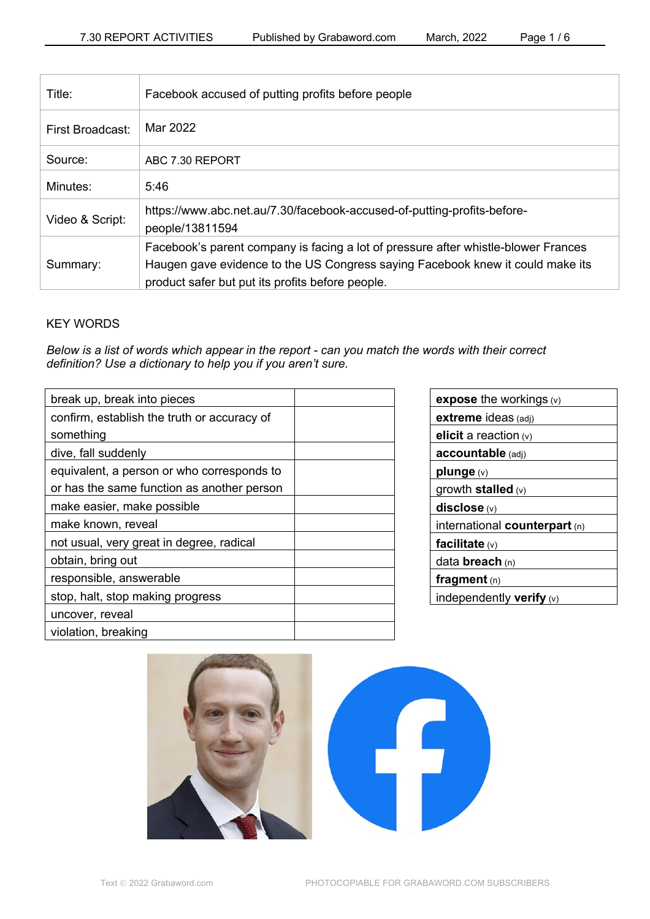| Title:           | Facebook accused of putting profits before people                                                                                                                                                                        |
|------------------|--------------------------------------------------------------------------------------------------------------------------------------------------------------------------------------------------------------------------|
| First Broadcast: | Mar 2022                                                                                                                                                                                                                 |
| Source:          | ABC 7.30 REPORT                                                                                                                                                                                                          |
| Minutes:         | 5:46                                                                                                                                                                                                                     |
| Video & Script:  | https://www.abc.net.au/7.30/facebook-accused-of-putting-profits-before-<br>people/13811594                                                                                                                               |
| Summary:         | Facebook's parent company is facing a lot of pressure after whistle-blower Frances<br>Haugen gave evidence to the US Congress saying Facebook knew it could make its<br>product safer but put its profits before people. |

# KEY WORDS

*Below is a list of words which appear in the report - can you match the words with their correct definition? Use a dictionary to help you if you aren't sure.*

| break up, break into pieces                 |  |
|---------------------------------------------|--|
| confirm, establish the truth or accuracy of |  |
| something                                   |  |
| dive, fall suddenly                         |  |
| equivalent, a person or who corresponds to  |  |
| or has the same function as another person  |  |
| make easier, make possible                  |  |
| make known, reveal                          |  |
| not usual, very great in degree, radical    |  |
| obtain, bring out                           |  |
| responsible, answerable                     |  |
| stop, halt, stop making progress            |  |
| uncover, reveal                             |  |
| violation, breaking                         |  |

| <b>expose</b> the workings $(v)$ |  |  |
|----------------------------------|--|--|
| extreme ideas (adj)              |  |  |
| elicit a reaction $(v)$          |  |  |
| accountable (adj)                |  |  |
| plunge (v)                       |  |  |
| growth stalled $(v)$             |  |  |
| disclose(w)                      |  |  |
|                                  |  |  |
| international counterpart (n)    |  |  |
| facilitate $(v)$                 |  |  |
| data <b>breach</b> (n)           |  |  |
| fragment $(n)$                   |  |  |
| independently verify (v)         |  |  |

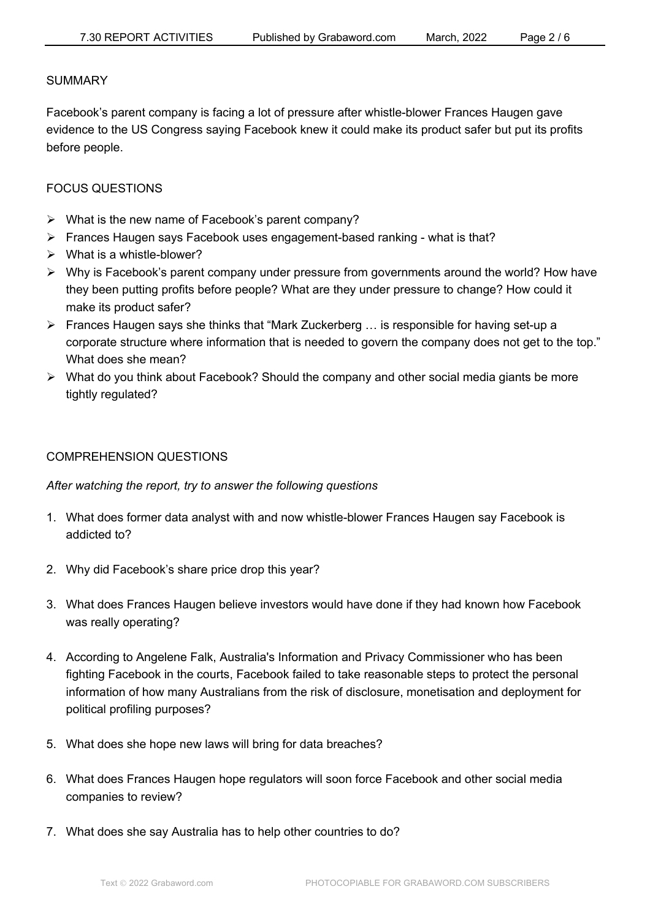#### **SUMMARY**

Facebook's parent company is facing a lot of pressure after whistle-blower Frances Haugen gave evidence to the US Congress saying Facebook knew it could make its product safer but put its profits before people.

### FOCUS QUESTIONS

- $\triangleright$  What is the new name of Facebook's parent company?
- Ø Frances Haugen says Facebook uses engagement-based ranking what is that?
- $\triangleright$  What is a whistle-blower?
- Ø Why is Facebook's parent company under pressure from governments around the world? How have they been putting profits before people? What are they under pressure to change? How could it make its product safer?
- $\triangleright$  Frances Haugen says she thinks that "Mark Zuckerberg ... is responsible for having set-up a corporate structure where information that is needed to govern the company does not get to the top." What does she mean?
- $\triangleright$  What do you think about Facebook? Should the company and other social media giants be more tightly regulated?

### COMPREHENSION QUESTIONS

*After watching the report, try to answer the following questions*

- 1. What does former data analyst with and now whistle-blower Frances Haugen say Facebook is addicted to?
- 2. Why did Facebook's share price drop this year?
- 3. What does Frances Haugen believe investors would have done if they had known how Facebook was really operating?
- 4. According to Angelene Falk, Australia's Information and Privacy Commissioner who has been fighting Facebook in the courts, Facebook failed to take reasonable steps to protect the personal information of how many Australians from the risk of disclosure, monetisation and deployment for political profiling purposes?
- 5. What does she hope new laws will bring for data breaches?
- 6. What does Frances Haugen hope regulators will soon force Facebook and other social media companies to review?
- 7. What does she say Australia has to help other countries to do?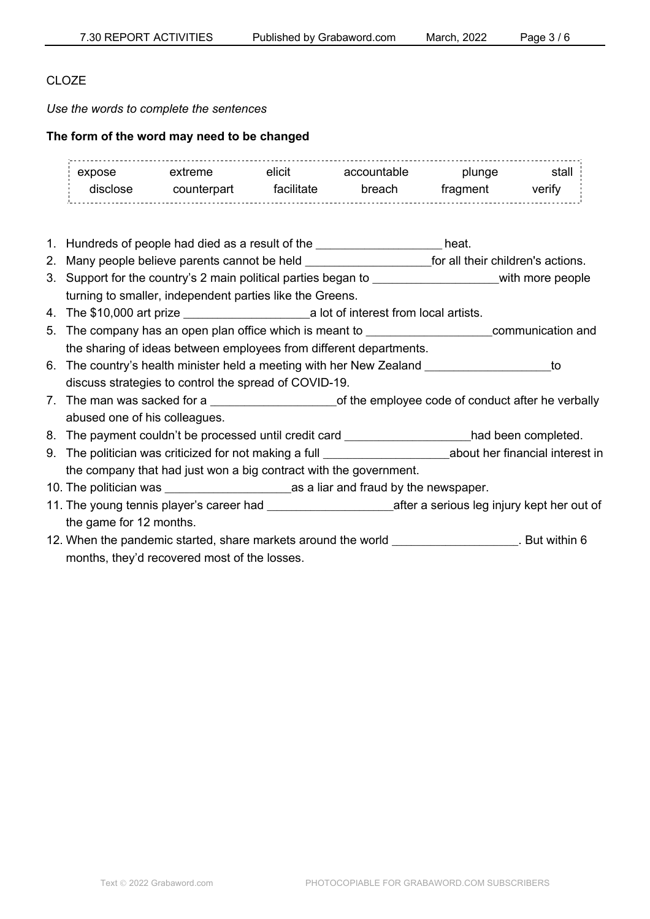## CLO<sub>ZE</sub>

*Use the words to complete the sentences*

### **The form of the word may need to be changed**

| expose   | extreme     | elicit     | accountable | plunge   | stalı  |
|----------|-------------|------------|-------------|----------|--------|
| יוומרון. | counterpart | tacilitate | hreach      | tragment | verity |

- 1. Hundreds of people had died as a result of the the the state of the state of the state of the state of the state of the state of the state of the state of the state of the state of the state of the state of the state of
- 2. Many people believe parents cannot be held \_\_\_\_\_\_\_\_\_\_\_\_\_\_\_\_\_\_\_\_\_\_\_\_\_\_for all their children's actions.
- 3. Support for the country's 2 main political parties began to \_\_\_\_\_\_\_\_\_\_\_\_\_\_\_\_\_\_\_\_\_\_\_\_\_\_with more people turning to smaller, independent parties like the Greens.
- 4. The \$10,000 art prize \_\_\_\_\_\_\_\_\_\_\_\_\_\_\_\_\_\_\_\_\_\_\_\_\_\_a lot of interest from local artists.
- 5. The company has an open plan office which is meant to \_\_\_\_\_\_\_\_\_\_\_\_\_\_\_\_\_\_\_\_\_\_\_\_\_\_communication and the sharing of ideas between employees from different departments.
- 6. The country's health minister held a meeting with her New Zealand \_\_\_\_\_\_\_\_\_\_\_\_\_\_\_\_\_\_\_\_\_\_\_\_\_\_to discuss strategies to control the spread of COVID-19.
- 7. The man was sacked for a subset of the employee code of conduct after he verbally abused one of his colleagues.
- 8. The payment couldn't be processed until credit card \_\_\_\_\_\_\_\_\_\_\_\_\_\_\_\_\_\_had been completed.
- 9. The politician was criticized for not making a full example about her financial interest in the company that had just won a big contract with the government.
- 10. The politician was \_\_\_\_\_\_\_\_\_\_\_\_\_\_\_\_\_\_\_\_\_\_\_\_\_\_as a liar and fraud by the newspaper.
- 11. The young tennis player's career had \_\_\_\_\_\_\_\_\_\_\_\_\_\_\_\_\_\_\_\_\_\_\_\_\_\_after a serious leg injury kept her out of the game for 12 months.
- 12. When the pandemic started, share markets around the world \_\_\_\_\_\_\_\_\_\_\_\_\_\_\_\_\_\_\_. But within 6 months, they'd recovered most of the losses.